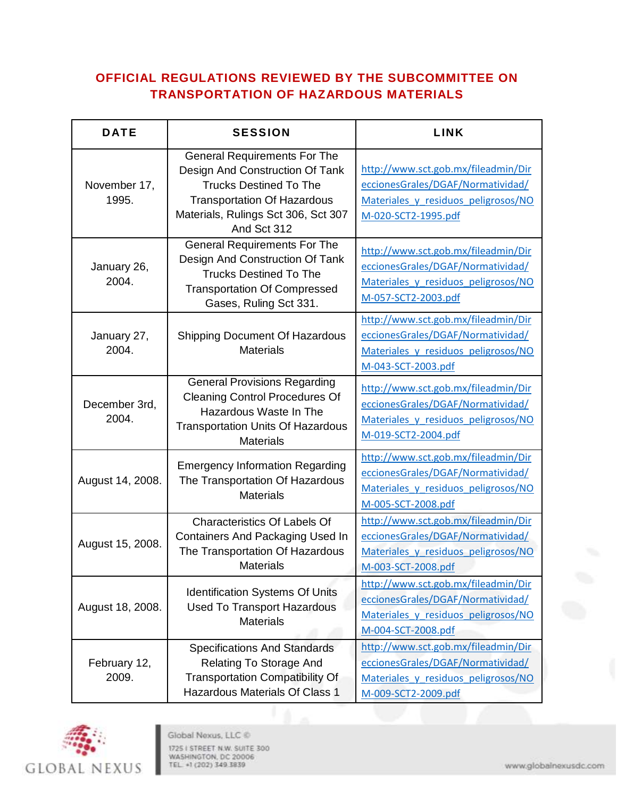## **OFFICIAL REGULATIONS REVIEWED BY THE SUBCOMMITTEE ON TRANSPORTATION OF HAZARDOUS MATERIALS**

| <b>DATE</b>            | <b>SESSION</b>                                                                                                                                                                                      | <b>LINK</b>                                                                                                                            |
|------------------------|-----------------------------------------------------------------------------------------------------------------------------------------------------------------------------------------------------|----------------------------------------------------------------------------------------------------------------------------------------|
| November 17,<br>1995.  | <b>General Requirements For The</b><br>Design And Construction Of Tank<br><b>Trucks Destined To The</b><br><b>Transportation Of Hazardous</b><br>Materials, Rulings Sct 306, Sct 307<br>And Sct 312 | http://www.sct.gob.mx/fileadmin/Dir<br>eccionesGrales/DGAF/Normatividad/<br>Materiales y residuos peligrosos/NO<br>M-020-SCT2-1995.pdf |
| January 26,<br>2004.   | <b>General Requirements For The</b><br>Design And Construction Of Tank<br><b>Trucks Destined To The</b><br><b>Transportation Of Compressed</b><br>Gases, Ruling Sct 331.                            | http://www.sct.gob.mx/fileadmin/Dir<br>eccionesGrales/DGAF/Normatividad/<br>Materiales y residuos peligrosos/NO<br>M-057-SCT2-2003.pdf |
| January 27,<br>2004.   | <b>Shipping Document Of Hazardous</b><br><b>Materials</b>                                                                                                                                           | http://www.sct.gob.mx/fileadmin/Dir<br>eccionesGrales/DGAF/Normatividad/<br>Materiales y residuos peligrosos/NO<br>M-043-SCT-2003.pdf  |
| December 3rd,<br>2004. | <b>General Provisions Regarding</b><br><b>Cleaning Control Procedures Of</b><br>Hazardous Waste In The<br><b>Transportation Units Of Hazardous</b><br><b>Materials</b>                              | http://www.sct.gob.mx/fileadmin/Dir<br>eccionesGrales/DGAF/Normatividad/<br>Materiales y residuos peligrosos/NO<br>M-019-SCT2-2004.pdf |
| August 14, 2008.       | <b>Emergency Information Regarding</b><br>The Transportation Of Hazardous<br><b>Materials</b>                                                                                                       | http://www.sct.gob.mx/fileadmin/Dir<br>eccionesGrales/DGAF/Normatividad/<br>Materiales y residuos peligrosos/NO<br>M-005-SCT-2008.pdf  |
| August 15, 2008.       | <b>Characteristics Of Labels Of</b><br><b>Containers And Packaging Used In</b><br>The Transportation Of Hazardous<br><b>Materials</b>                                                               | http://www.sct.gob.mx/fileadmin/Dir<br>eccionesGrales/DGAF/Normatividad/<br>Materiales y residuos peligrosos/NO<br>M-003-SCT-2008.pdf  |
| August 18, 2008.       | <b>Identification Systems Of Units</b><br><b>Used To Transport Hazardous</b><br><b>Materials</b>                                                                                                    | http://www.sct.gob.mx/fileadmin/Dir<br>eccionesGrales/DGAF/Normatividad/<br>Materiales y residuos peligrosos/NO<br>M-004-SCT-2008.pdf  |
| February 12,<br>2009.  | <b>Specifications And Standards</b><br>Relating To Storage And<br><b>Transportation Compatibility Of</b><br><b>Hazardous Materials Of Class 1</b>                                                   | http://www.sct.gob.mx/fileadmin/Dir<br>eccionesGrales/DGAF/Normatividad/<br>Materiales y residuos peligrosos/NO<br>M-009-SCT2-2009.pdf |

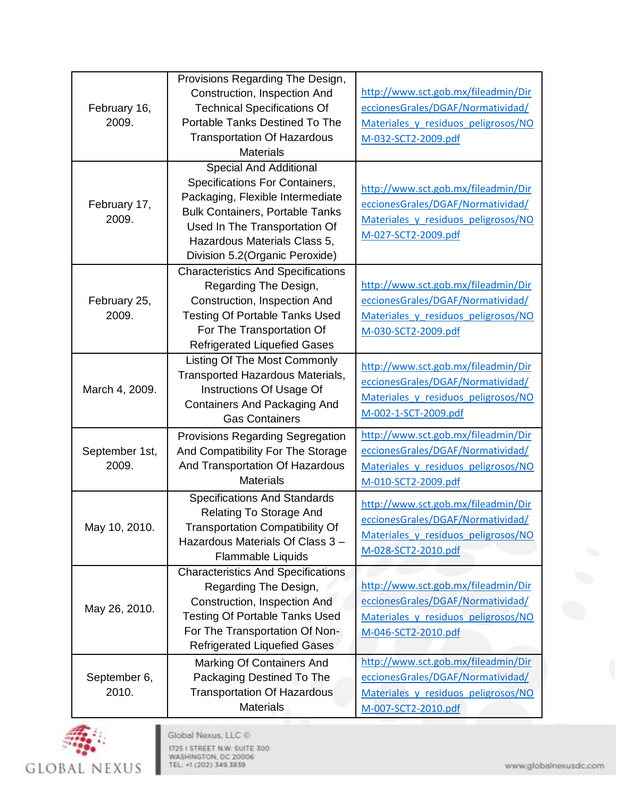| February 16,<br>2009. | Provisions Regarding The Design,          |                                     |
|-----------------------|-------------------------------------------|-------------------------------------|
|                       | Construction, Inspection And              | http://www.sct.gob.mx/fileadmin/Dir |
|                       | <b>Technical Specifications Of</b>        | eccionesGrales/DGAF/Normatividad/   |
|                       | Portable Tanks Destined To The            | Materiales y residuos peligrosos/NO |
|                       | <b>Transportation Of Hazardous</b>        | M-032-SCT2-2009.pdf                 |
|                       | <b>Materials</b>                          |                                     |
| February 17,<br>2009. | Special And Additional                    |                                     |
|                       | Specifications For Containers,            | http://www.sct.gob.mx/fileadmin/Dir |
|                       | Packaging, Flexible Intermediate          | eccionesGrales/DGAF/Normatividad/   |
|                       | <b>Bulk Containers, Portable Tanks</b>    | Materiales y residuos peligrosos/NO |
|                       | Used In The Transportation Of             | M-027-SCT2-2009.pdf                 |
|                       | Hazardous Materials Class 5,              |                                     |
|                       | Division 5.2 (Organic Peroxide)           |                                     |
|                       | <b>Characteristics And Specifications</b> |                                     |
|                       | Regarding The Design,                     | http://www.sct.gob.mx/fileadmin/Dir |
| February 25,          | Construction, Inspection And              | eccionesGrales/DGAF/Normatividad/   |
| 2009.                 | <b>Testing Of Portable Tanks Used</b>     | Materiales y residuos peligrosos/NO |
|                       | For The Transportation Of                 | M-030-SCT2-2009.pdf                 |
|                       | <b>Refrigerated Liquefied Gases</b>       |                                     |
|                       | Listing Of The Most Commonly              | http://www.sct.gob.mx/fileadmin/Dir |
|                       | Transported Hazardous Materials,          | eccionesGrales/DGAF/Normatividad/   |
| March 4, 2009.        | Instructions Of Usage Of                  | Materiales y residuos peligrosos/NO |
|                       | <b>Containers And Packaging And</b>       | M-002-1-SCT-2009.pdf                |
|                       | <b>Gas Containers</b>                     |                                     |
|                       | Provisions Regarding Segregation          | http://www.sct.gob.mx/fileadmin/Dir |
| September 1st,        | And Compatibility For The Storage         | eccionesGrales/DGAF/Normatividad/   |
| 2009.                 | And Transportation Of Hazardous           | Materiales y residuos peligrosos/NO |
|                       | <b>Materials</b>                          | M-010-SCT2-2009.pdf                 |
|                       | <b>Specifications And Standards</b>       | http://www.sct.gob.mx/fileadmin/Dir |
|                       | <b>Relating To Storage And</b>            | eccionesGrales/DGAF/Normatividad/   |
| May 10, 2010.         | <b>Transportation Compatibility Of</b>    | Materiales y residuos peligrosos/NO |
|                       | Hazardous Materials Of Class 3 -          | M-028-SCT2-2010.pdf                 |
|                       | Flammable Liquids                         |                                     |
|                       | <b>Characteristics And Specifications</b> |                                     |
| May 26, 2010.         | Regarding The Design,                     | http://www.sct.gob.mx/fileadmin/Dir |
|                       | Construction, Inspection And              | eccionesGrales/DGAF/Normatividad/   |
|                       | <b>Testing Of Portable Tanks Used</b>     | Materiales y residuos peligrosos/NO |
|                       | For The Transportation Of Non-            | M-046-SCT2-2010.pdf                 |
|                       | <b>Refrigerated Liquefied Gases</b>       |                                     |
| September 6,<br>2010. | Marking Of Containers And                 | http://www.sct.gob.mx/fileadmin/Dir |
|                       | Packaging Destined To The                 | eccionesGrales/DGAF/Normatividad/   |
|                       | <b>Transportation Of Hazardous</b>        | Materiales y residuos peligrosos/NO |
|                       | <b>Materials</b>                          | M-007-SCT2-2010.pdf                 |